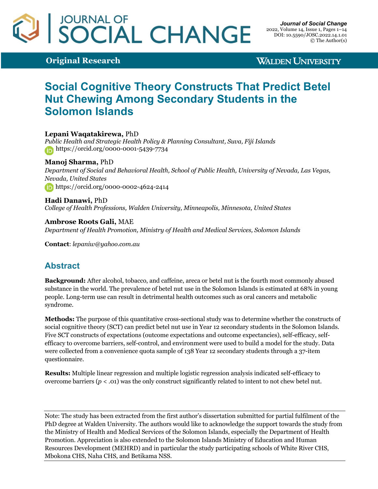# JOURNAL OF<br>SOCIAL CHANGE

**Original Research**

**WALDEN UNIVERSITY** 

# **Social Cognitive Theory Constructs That Predict Betel Nut Chewing Among Secondary Students in the Solomon Islands**

#### **Lepani Waqatakirewa,** PhD

*Public Health and Strategic Health Policy & Planning Consultant, Suva, Fiji Islands* https://orcid.org/0000-0001-5439-7734

#### **Manoj Sharma,** PhD

*Department of Social and Behavioral Health, School of Public Health, University of Nevada, Las Vegas, Nevada, United States* https://orcid.org/0000-0002-4624-2414

**Hadi Danawi,** PhD *College of Health Professions, Walden University, Minneapolis, Minnesota, United States*

**Ambrose Roots Gali,** MAE *Department of Health Promotion, Ministry of Health and Medical Services, Solomon Islands*

**Contact**: *lepaniw@yahoo.com.au*

## **Abstract**

**Background:** After alcohol, tobacco, and caffeine, areca or betel nut is the fourth most commonly abused substance in the world. The prevalence of betel nut use in the Solomon Islands is estimated at 68% in young people. Long-term use can result in detrimental health outcomes such as oral cancers and metabolic syndrome.

**Methods:** The purpose of this quantitative cross-sectional study was to determine whether the constructs of social cognitive theory (SCT) can predict betel nut use in Year 12 secondary students in the Solomon Islands. Five SCT constructs of expectations (outcome expectations and outcome expectancies), self-efficacy, selfefficacy to overcome barriers, self-control, and environment were used to build a model for the study. Data were collected from a convenience quota sample of 138 Year 12 secondary students through a 37-item questionnaire.

**Results:** Multiple linear regression and multiple logistic regression analysis indicated self-efficacy to overcome barriers (*p* < .01) was the only construct significantly related to intent to not chew betel nut.

Note: The study has been extracted from the first author's dissertation submitted for partial fulfilment of the PhD degree at Walden University. The authors would like to acknowledge the support towards the study from the Ministry of Health and Medical Services of the Solomon Islands, especially the Department of Health Promotion. Appreciation is also extended to the Solomon Islands Ministry of Education and Human Resources Development (MEHRD) and in particular the study participating schools of White River CHS, Mbokona CHS, Naha CHS, and Betikama NSS.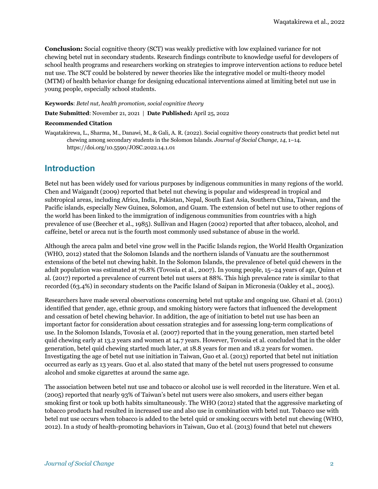**Conclusion:** Social cognitive theory (SCT) was weakly predictive with low explained variance for not chewing betel nut in secondary students. Research findings contribute to knowledge useful for developers of school health programs and researchers working on strategies to improve intervention actions to reduce betel nut use. The SCT could be bolstered by newer theories like the integrative model or multi-theory model (MTM) of health behavior change for designing educational interventions aimed at limiting betel nut use in young people, especially school students.

**Keywords**: *Betel nut, health promotion, social cognitive theory*

**Date Submitted**: November 21, 2021 | **Date Published:** April 25, 2022

#### **Recommended Citation**

Waqatakirewa, L., Sharma, M., Danawi, M., & Gali, A. R. (2022). Social cognitive theory constructs that predict betel nut chewing among secondary students in the Solomon Islands. *Journal of Social Change, 14*, 1–14. https://doi.org/10.5590/JOSC.2022.14.1.01

## **Introduction**

Betel nut has been widely used for various purposes by indigenous communities in many regions of the world. Chen and Waigandt (2009) reported that betel nut chewing is popular and widespread in tropical and subtropical areas, including Africa, India, Pakistan, Nepal, South East Asia, Southern China, Taiwan, and the Pacific islands, especially New Guinea, Solomon, and Guam. The extension of betel nut use to other regions of the world has been linked to the immigration of indigenous communities from countries with a high prevalence of use (Beecher et al., 1985). Sullivan and Hagen (2002) reported that after tobacco, alcohol, and caffeine, betel or areca nut is the fourth most commonly used substance of abuse in the world.

Although the areca palm and betel vine grow well in the Pacific Islands region, the World Health Organization (WHO, 2012) stated that the Solomon Islands and the northern islands of Vanuatu are the southernmost extensions of the betel nut chewing habit. In the Solomon Islands, the prevalence of betel quid chewers in the adult population was estimated at 76.8% (Tovosia et al., 2007). In young people, 15–24 years of age, Quinn et al. (2017) reported a prevalence of current betel nut users at 88%. This high prevalence rate is similar to that recorded (63.4%) in secondary students on the Pacific Island of Saipan in Micronesia (Oakley et al., 2005).

Researchers have made several observations concerning betel nut uptake and ongoing use. Ghani et al. (2011) identified that gender, age, ethnic group, and smoking history were factors that influenced the development and cessation of betel chewing behavior. In addition, the age of initiation to betel nut use has been an important factor for consideration about cessation strategies and for assessing long-term complications of use. In the Solomon Islands, Tovosia et al. (2007) reported that in the young generation, men started betel quid chewing early at 13.2 years and women at 14.7 years. However, Toyosia et al. concluded that in the older generation, betel quid chewing started much later, at 18.8 years for men and 18.2 years for women. Investigating the age of betel nut use initiation in Taiwan, Guo et al. (2013) reported that betel nut initiation occurred as early as 13 years. Guo et al. also stated that many of the betel nut users progressed to consume alcohol and smoke cigarettes at around the same age.

The association between betel nut use and tobacco or alcohol use is well recorded in the literature. Wen et al. (2005) reported that nearly 93% of Taiwan's betel nut users were also smokers, and users either began smoking first or took up both habits simultaneously. The WHO (2012) stated that the aggressive marketing of tobacco products had resulted in increased use and also use in combination with betel nut. Tobacco use with betel nut use occurs when tobacco is added to the betel quid or smoking occurs with betel nut chewing (WHO, 2012). In a study of health-promoting behaviors in Taiwan, Guo et al. (2013) found that betel nut chewers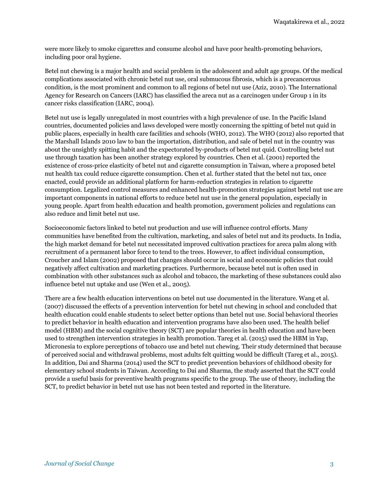were more likely to smoke cigarettes and consume alcohol and have poor health-promoting behaviors, including poor oral hygiene.

Betel nut chewing is a major health and social problem in the adolescent and adult age groups. Of the medical complications associated with chronic betel nut use, oral submucous fibrosis, which is a precancerous condition, is the most prominent and common to all regions of betel nut use (Aziz, 2010). The International Agency for Research on Cancers (IARC) has classified the areca nut as a carcinogen under Group 1 in its cancer risks classification (IARC, 2004).

Betel nut use is legally unregulated in most countries with a high prevalence of use. In the Pacific Island countries, documented policies and laws developed were mostly concerning the spitting of betel nut quid in public places, especially in health care facilities and schools (WHO, 2012). The WHO (2012) also reported that the Marshall Islands 2010 law to ban the importation, distribution, and sale of betel nut in the country was about the unsightly spitting habit and the expectorated by-products of betel nut quid. Controlling betel nut use through taxation has been another strategy explored by countries. Chen et al. (2001) reported the existence of cross-price elasticity of betel nut and cigarette consumption in Taiwan, where a proposed betel nut health tax could reduce cigarette consumption. Chen et al. further stated that the betel nut tax, once enacted, could provide an additional platform for harm-reduction strategies in relation to cigarette consumption. Legalized control measures and enhanced health-promotion strategies against betel nut use are important components in national efforts to reduce betel nut use in the general population, especially in young people. Apart from health education and health promotion, government policies and regulations can also reduce and limit betel nut use.

Socioeconomic factors linked to betel nut production and use will influence control efforts. Many communities have benefited from the cultivation, marketing, and sales of betel nut and its products. In India, the high market demand for betel nut necessitated improved cultivation practices for areca palm along with recruitment of a permanent labor force to tend to the trees. However, to affect individual consumption, Croucher and Islam (2002) proposed that changes should occur in social and economic policies that could negatively affect cultivation and marketing practices. Furthermore, because betel nut is often used in combination with other substances such as alcohol and tobacco, the marketing of these substances could also influence betel nut uptake and use (Wen et al., 2005).

There are a few health education interventions on betel nut use documented in the literature. Wang et al. (2007) discussed the effects of a prevention intervention for betel nut chewing in school and concluded that health education could enable students to select better options than betel nut use. Social behavioral theories to predict behavior in health education and intervention programs have also been used. The health belief model (HBM) and the social cognitive theory (SCT) are popular theories in health education and have been used to strengthen intervention strategies in health promotion. Tareg et al. (2015) used the HBM in Yap, Micronesia to explore perceptions of tobacco use and betel nut chewing. Their study determined that because of perceived social and withdrawal problems, most adults felt quitting would be difficult (Tareg et al., 2015). In addition, Dai and Sharma (2014) used the SCT to predict prevention behaviors of childhood obesity for elementary school students in Taiwan. According to Dai and Sharma, the study asserted that the SCT could provide a useful basis for preventive health programs specific to the group. The use of theory, including the SCT, to predict behavior in betel nut use has not been tested and reported in the literature.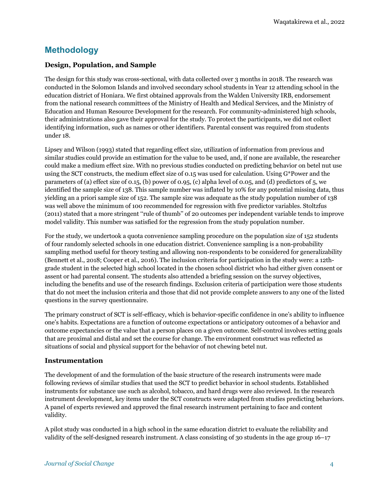## **Methodology**

#### **Design, Population, and Sample**

The design for this study was cross-sectional, with data collected over 3 months in 2018. The research was conducted in the Solomon Islands and involved secondary school students in Year 12 attending school in the education district of Honiara. We first obtained approvals from the Walden University IRB, endorsement from the national research committees of the Ministry of Health and Medical Services, and the Ministry of Education and Human Resource Development for the research. For community-administered high schools, their administrations also gave their approval for the study. To protect the participants, we did not collect identifying information, such as names or other identifiers. Parental consent was required from students under 18.

Lipsey and Wilson (1993) stated that regarding effect size, utilization of information from previous and similar studies could provide an estimation for the value to be used, and, if none are available, the researcher could make a medium effect size. With no previous studies conducted on predicting behavior on betel nut use using the SCT constructs, the medium effect size of 0.15 was used for calculation. Using G\*Power and the parameters of (a) effect size of 0.15, (b) power of 0.95, (c) alpha level of 0.05, and (d) predictors of 5, we identified the sample size of 138. This sample number was inflated by 10% for any potential missing data, thus yielding an a priori sample size of 152. The sample size was adequate as the study population number of 138 was well above the minimum of 100 recommended for regression with five predictor variables. Stoltzfus (2011) stated that a more stringent ''rule of thumb'' of 20 outcomes per independent variable tends to improve model validity. This number was satisfied for the regression from the study population number.

For the study, we undertook a quota convenience sampling procedure on the population size of 152 students of four randomly selected schools in one education district. Convenience sampling is a non-probability sampling method useful for theory testing and allowing non-respondents to be considered for generalizability (Bennett et al., 2018; Cooper et al., 2016). The inclusion criteria for participation in the study were: a 12thgrade student in the selected high school located in the chosen school district who had either given consent or assent or had parental consent. The students also attended a briefing session on the survey objectives, including the benefits and use of the research findings. Exclusion criteria of participation were those students that do not meet the inclusion criteria and those that did not provide complete answers to any one of the listed questions in the survey questionnaire.

The primary construct of SCT is self-efficacy, which is behavior-specific confidence in one's ability to influence one's habits. Expectations are a function of outcome expectations or anticipatory outcomes of a behavior and outcome expectancies or the value that a person places on a given outcome. Self-control involves setting goals that are proximal and distal and set the course for change. The environment construct was reflected as situations of social and physical support for the behavior of not chewing betel nut.

#### **Instrumentation**

The development of and the formulation of the basic structure of the research instruments were made following reviews of similar studies that used the SCT to predict behavior in school students. Established instruments for substance use such as alcohol, tobacco, and hard drugs were also reviewed. In the research instrument development, key items under the SCT constructs were adapted from studies predicting behaviors. A panel of experts reviewed and approved the final research instrument pertaining to face and content validity.

A pilot study was conducted in a high school in the same education district to evaluate the reliability and validity of the self-designed research instrument. A class consisting of 30 students in the age group 16–17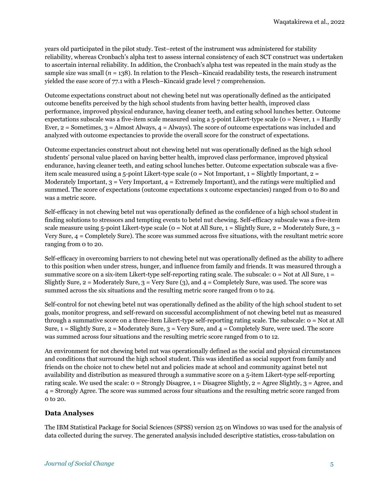years old participated in the pilot study. Test–retest of the instrument was administered for stability reliability, whereas Cronbach's alpha test to assess internal consistency of each SCT construct was undertaken to ascertain internal reliability. In addition, the Cronbach's alpha test was repeated in the main study as the sample size was small  $(n = 138)$ . In relation to the Flesch–Kincaid readability tests, the research instrument yielded the ease score of 77.1 with a Flesch–Kincaid grade level 7 comprehension.

Outcome expectations construct about not chewing betel nut was operationally defined as the anticipated outcome benefits perceived by the high school students from having better health, improved class performance, improved physical endurance, having cleaner teeth, and eating school lunches better. Outcome expectations subscale was a five-item scale measured using a  $5$ -point Likert-type scale ( $o =$  Never,  $1 =$  Hardly Ever, 2 = Sometimes, 3 = Almost Always, 4 = Always). The score of outcome expectations was included and analyzed with outcome expectancies to provide the overall score for the construct of expectations.

Outcome expectancies construct about not chewing betel nut was operationally defined as the high school students' personal value placed on having better health, improved class performance, improved physical endurance, having cleaner teeth, and eating school lunches better. Outcome expectation subscale was a fiveitem scale measured using a 5-point Likert-type scale ( $o = Not Important$ ,  $1 = Slightly Important$ ,  $2 =$ Moderately Important,  $3 = \text{Very Important}, 4 = \text{Extremely Important},$  and the ratings were multiplied and summed. The score of expectations (outcome expectations x outcome expectancies) ranged from 0 to 80 and was a metric score.

Self-efficacy in not chewing betel nut was operationally defined as the confidence of a high school student in finding solutions to stressors and tempting events to betel nut chewing. Self-efficacy subscale was a five-item scale measure using 5-point Likert-type scale ( $o = Not$  at All Sure,  $1 =$  Slightly Sure,  $2 =$  Moderately Sure,  $3 =$ Very Sure, 4 = Completely Sure). The score was summed across five situations, with the resultant metric score ranging from 0 to 20.

Self-efficacy in overcoming barriers to not chewing betel nut was operationally defined as the ability to adhere to this position when under stress, hunger, and influence from family and friends. It was measured through a summative score on a six-item Likert-type self-reporting rating scale. The subscale: 0 = Not at All Sure, 1 = Slightly Sure,  $2 =$  Moderately Sure,  $3 =$  Very Sure  $(3)$ , and  $4 =$  Completely Sure, was used. The score was summed across the six situations and the resulting metric score ranged from 0 to 24.

Self-control for not chewing betel nut was operationally defined as the ability of the high school student to set goals, monitor progress, and self-reward on successful accomplishment of not chewing betel nut as measured through a summative score on a three-item Likert-type self-reporting rating scale. The subscale: 0 = Not at All Sure,  $1 =$  Slightly Sure,  $2 =$  Moderately Sure,  $3 =$  Very Sure, and  $4 =$  Completely Sure, were used. The score was summed across four situations and the resulting metric score ranged from 0 to 12.

An environment for not chewing betel nut was operationally defined as the social and physical circumstances and conditions that surround the high school student. This was identified as social support from family and friends on the choice not to chew betel nut and policies made at school and community against betel nut availability and distribution as measured through a summative score on a 5-item Likert-type self-reporting rating scale. We used the scale: 0 = Strongly Disagree, 1 = Disagree Slightly, 2 = Agree Slightly, 3 = Agree, and 4 = Strongly Agree. The score was summed across four situations and the resulting metric score ranged from 0 to 20.

#### **Data Analyses**

The IBM Statistical Package for Social Sciences (SPSS) version 25 on Windows 10 was used for the analysis of data collected during the survey. The generated analysis included descriptive statistics, cross-tabulation on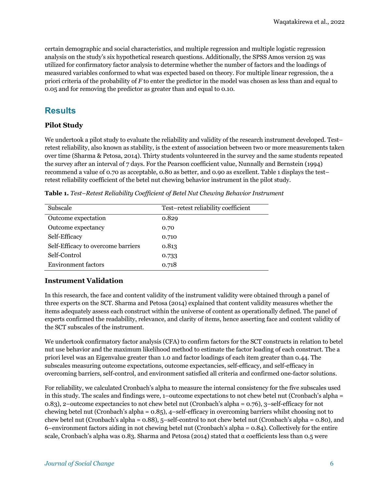certain demographic and social characteristics, and multiple regression and multiple logistic regression analysis on the study's six hypothetical research questions. Additionally, the SPSS Amos version 25 was utilized for confirmatory factor analysis to determine whether the number of factors and the loadings of measured variables conformed to what was expected based on theory. For multiple linear regression, the a priori criteria of the probability of *F* to enter the predictor in the model was chosen as less than and equal to 0.05 and for removing the predictor as greater than and equal to 0.10.

## **Results**

#### **Pilot Study**

We undertook a pilot study to evaluate the reliability and validity of the research instrument developed. Test– retest reliability, also known as stability, is the extent of association between two or more measurements taken over time (Sharma & Petosa, 2014). Thirty students volunteered in the survey and the same students repeated the survey after an interval of 7 days. For the Pearson coefficient value, Nunnally and Bernstein (1994) recommend a value of 0.70 as acceptable, 0.80 as better, and 0.90 as excellent. Table 1 displays the test– retest reliability coefficient of the betel nut chewing behavior instrument in the pilot study.

| Subscale                           | Test-retest reliability coefficient |
|------------------------------------|-------------------------------------|
| Outcome expectation                | 0.829                               |
| Outcome expectancy                 | 0.70                                |
| Self-Efficacy                      | 0.710                               |
| Self-Efficacy to overcome barriers | 0.813                               |
| Self-Control                       | 0.733                               |
| <b>Environment factors</b>         | 0.718                               |

**Table 1.** *Test–Retest Reliability Coefficient of Betel Nut Chewing Behavior Instrument*

#### **Instrument Validation**

In this research, the face and content validity of the instrument validity were obtained through a panel of three experts on the SCT. Sharma and Petosa (2014) explained that content validity measures whether the items adequately assess each construct within the universe of content as operationally defined. The panel of experts confirmed the readability, relevance, and clarity of items, hence asserting face and content validity of the SCT subscales of the instrument.

We undertook confirmatory factor analysis (CFA) to confirm factors for the SCT constructs in relation to betel nut use behavior and the maximum likelihood method to estimate the factor loading of each construct. The a priori level was an Eigenvalue greater than 1.0 and factor loadings of each item greater than 0.44. The subscales measuring outcome expectations, outcome expectancies, self-efficacy, and self-efficacy in overcoming barriers, self-control, and environment satisfied all criteria and confirmed one-factor solutions.

For reliability, we calculated Cronbach's alpha to measure the internal consistency for the five subscales used in this study. The scales and findings were, 1–outcome expectations to not chew betel nut (Cronbach's alpha = 0.83), 2–outcome expectancies to not chew betel nut (Cronbach's alpha = 0.76), 3–self-efficacy for not chewing betel nut (Cronbach's alpha = 0.85), 4–self-efficacy in overcoming barriers whilst choosing not to chew betel nut (Cronbach's alpha = 0.88), 5–self-control to not chew betel nut (Cronbach's alpha = 0.80), and 6–environment factors aiding in not chewing betel nut (Cronbach's alpha = 0.84). Collectively for the entire scale, Cronbach's alpha was 0.83. Sharma and Petosa (2014) stated that  $\alpha$  coefficients less than 0.5 were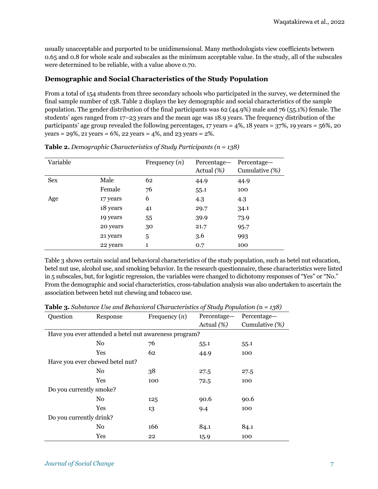usually unacceptable and purported to be unidimensional. Many methodologists view coefficients between 0.65 and 0.8 for whole scale and subscales as the minimum acceptable value. In the study, all of the subscales were determined to be reliable, with a value above 0.70.

#### **Demographic and Social Characteristics of the Study Population**

From a total of 154 students from three secondary schools who participated in the survey, we determined the final sample number of 138. Table 2 displays the key demographic and social characteristics of the sample population. The gender distribution of the final participants was 62 (44.9%) male and 76 (55.1%) female. The students' ages ranged from 17–23 years and the mean age was 18.9 years. The frequency distribution of the participants' age group revealed the following percentages, 17 years = 4%, 18 years = 37%, 19 years = 56%, 20 years =  $29\%$ ,  $21$  years =  $6\%$ ,  $22$  years =  $4\%$ , and  $23$  years =  $2\%$ .

| Variable   |          | Frequency $(n)$ | Percentage-<br>Actual $(\%)$ | Percentage-<br>Cumulative $(\%)$ |
|------------|----------|-----------------|------------------------------|----------------------------------|
| <b>Sex</b> | Male     | 62              | 44.9                         | 44.9                             |
|            | Female   | 76              | 55.1                         | 100                              |
| Age        | 17 years | 6               | 4.3                          | 4.3                              |
|            | 18 years | 41              | 29.7                         | 34.1                             |
|            | 19 years | 55              | 39.9                         | 73.9                             |
|            | 20 years | 30              | 21.7                         | 95.7                             |
|            | 21 years | 5               | 3.6                          | 993                              |
|            | 22 years | 1               | 0.7                          | 100                              |

**Table 2.** *Demographic Characteristics of Study Participants (n = 138)*

Table 3 shows certain social and behavioral characteristics of the study population, such as betel nut education, betel nut use, alcohol use, and smoking behavior. In the research questionnaire, these characteristics were listed in 5 subscales, but, for logistic regression, the variables were changed to dichotomy responses of "Yes" or "No." From the demographic and social characteristics, cross-tabulation analysis was also undertaken to ascertain the association between betel nut chewing and tobacco use.

| Question                                              | Response                        | Frequency $(n)$ | Percentage-<br>Percentage- |                   |  |  |
|-------------------------------------------------------|---------------------------------|-----------------|----------------------------|-------------------|--|--|
|                                                       |                                 |                 | Actual $(\%)$              | Cumulative $(\%)$ |  |  |
| Have you ever attended a betel nut awareness program? |                                 |                 |                            |                   |  |  |
|                                                       | N <sub>0</sub>                  | 76              | 55.1                       | 55.1              |  |  |
|                                                       | Yes                             | 62              | 44.9                       | 100               |  |  |
|                                                       | Have you ever chewed betel nut? |                 |                            |                   |  |  |
|                                                       | N <sub>0</sub>                  | 38              | 27.5                       | 27.5              |  |  |
|                                                       | Yes                             | 100             | 72.5                       | 100               |  |  |
| Do you currently smoke?                               |                                 |                 |                            |                   |  |  |
|                                                       | No                              | 125             | 90.6                       | 90.6              |  |  |
|                                                       | Yes                             | 13              | 9.4                        | 100               |  |  |
| Do you currently drink?                               |                                 |                 |                            |                   |  |  |
|                                                       | No                              | 166             | 84.1                       | 84.1              |  |  |
|                                                       | Yes                             | 22              | 15.9                       | 100               |  |  |

**Table 3.** *Substance Use and Behavioral Characteristics of Study Population (*n *= 138)*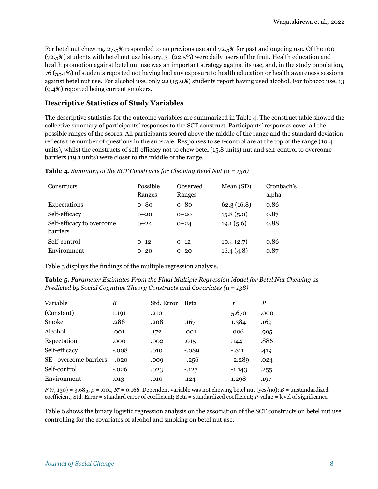For betel nut chewing, 27.5% responded to no previous use and 72.5% for past and ongoing use. Of the 100 (72.5%) students with betel nut use history, 31 (22.5%) were daily users of the fruit. Health education and health promotion against betel nut use was an important strategy against its use, and, in the study population, 76 (55.1%) of students reported not having had any exposure to health education or health awareness sessions against betel nut use. For alcohol use, only 22 (15.9%) students report having used alcohol. For tobacco use, 13 (9.4%) reported being current smokers.

#### **Descriptive Statistics of Study Variables**

The descriptive statistics for the outcome variables are summarized in Table 4. The construct table showed the collective summary of participants' responses to the SCT construct. Participants' responses cover all the possible ranges of the scores. All participants scored above the middle of the range and the standard deviation reflects the number of questions in the subscale. Responses to self-control are at the top of the range (10.4 units), whilst the constructs of self-efficacy not to chew betel (15.8 units) nut and self-control to overcome barriers (19.1 units) were closer to the middle of the range.

| <b>Constructs</b>         | <b>Possible</b><br>Ranges | Observed<br>Ranges | Mean (SD)  | Cronbach's<br>alpha |
|---------------------------|---------------------------|--------------------|------------|---------------------|
| Expectations              | $0 - 80$                  | $O-8O$             | 62.3(16.8) | 0.86                |
| Self-efficacy             | $0 - 20$                  | $0 - 20$           | 15.8(5.0)  | 0.87                |
| Self-efficacy to overcome | $0 - 24$                  | $0 - 24$           | 19.1(5.6)  | 0.88                |
| <b>barriers</b>           |                           |                    |            |                     |
| Self-control              | $0 - 12$                  | $0 - 12$           | 10.4(2.7)  | 0.86                |
| Environment               | $0 - 20$                  | $0 - 20$           | 16.4(4.8)  | 0.87                |

**Table 4**. *Summary of the SCT Constructs for Chewing Betel Nut (*n *= 138)*

Table 5 displays the findings of the multiple regression analysis.

**Table 5***. Parameter Estimates From the Final Multiple Regression Model for Betel Nut Chewing as Predicted by Social Cognitive Theory Constructs and Covariates (*n *= 138)*

| Variable             | B       | Std. Error | <b>Beta</b> | ÷        | $\boldsymbol{P}$ |
|----------------------|---------|------------|-------------|----------|------------------|
| (Constant)           | 1.191   | .210       |             | 5.670    | .000             |
| Smoke                | .288    | .208       | .167        | 1.384    | .169             |
| Alcohol              | .001    | .172       | .001        | .006     | .995             |
| Expectation          | .000    | .002       | .015        | .144     | .886             |
| Self-efficacy        | $-.008$ | .010       | $-.089$     | $-.811$  | .419             |
| SE-overcome barriers | $-.020$ | .009       | $-.256$     | $-2.289$ | .024             |
| Self-control         | $-.026$ | .023       | $-.127$     | $-1.143$ | .255             |
| Environment          | .013    | .010       | .124        | 1.298    | .197             |

 $F(7, 130) = 3.685$ ,  $p = .001$ ,  $R<sup>2</sup> = 0.166$ . Dependent variable was not chewing betel nut (yes/no); *B* = unstandardized coefficient; Std. Error = standard error of coefficient; Beta = standardized coefficient; *P*-value = level of significance.

Table 6 shows the binary logistic regression analysis on the association of the SCT constructs on betel nut use controlling for the covariates of alcohol and smoking on betel nut use.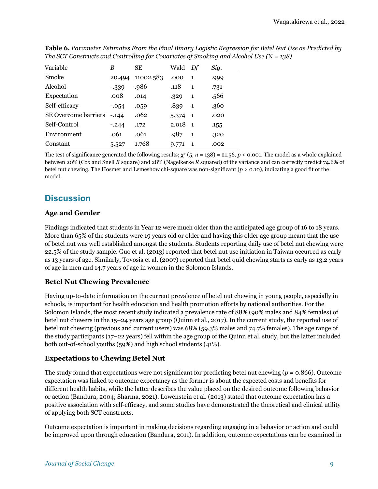| Variable                    | B        | SЕ        | Wald  | Df           | Sig. |
|-----------------------------|----------|-----------|-------|--------------|------|
| Smoke                       | 20.494   | 11002.583 | .000  | 1            | .999 |
| Alcohol                     | $-339$   | .986      | .118  | 1            | .731 |
| Expectation                 | .008     | .014      | .329  | $\mathbf{1}$ | .566 |
| Self-efficacy               | $-0.54$  | .059      | .839  | $\mathbf{1}$ | .360 |
| <b>SE Overcome barriers</b> | $-0.144$ | .062      | 5.374 | $\mathbf{1}$ | .020 |
| Self-Control                | $-.244$  | .172      | 2.018 | $\mathbf{1}$ | .155 |
| Environment                 | .061     | .061      | .987  | $\mathbf{1}$ | .320 |
| Constant                    | 5.527    | 1.768     | 9.771 | 1            | .002 |

**Table 6.** *Parameter Estimates From the Final Binary Logistic Regression for Betel Nut Use as Predicted by The SCT Constructs and Controlling for Covariates of Smoking and Alcohol Use (*N *= 138)*

The test of significance generated the following results;  $\chi^2$  (5, *n* = 138) = 21.56, *p* < 0.001. The model as a whole explained between 20% (Cox and Snell *R* square) and 28% (Nagelkerke *R* squared) of the variance and can correctly predict 74.6% of betel nut chewing. The Hosmer and Lemeshow chi-square was non-significant (*p* > 0.10), indicating a good fit of the model.

## **Discussion**

#### **Age and Gender**

Findings indicated that students in Year 12 were much older than the anticipated age group of 16 to 18 years. More than 65% of the students were 19 years old or older and having this older age group meant that the use of betel nut was well established amongst the students. Students reporting daily use of betel nut chewing were 22.5% of the study sample. Guo et al. (2013) reported that betel nut use initiation in Taiwan occurred as early as 13 years of age. Similarly, Tovosia et al. (2007) reported that betel quid chewing starts as early as 13.2 years of age in men and 14.7 years of age in women in the Solomon Islands.

#### **Betel Nut Chewing Prevalence**

Having up-to-date information on the current prevalence of betel nut chewing in young people, especially in schools, is important for health education and health promotion efforts by national authorities. For the Solomon Islands, the most recent study indicated a prevalence rate of 88% (90% males and 84% females) of betel nut chewers in the 15–24 years age group (Quinn et al., 2017). In the current study, the reported use of betel nut chewing (previous and current users) was 68% (59.3% males and 74.7% females). The age range of the study participants (17–22 years) fell within the age group of the Quinn et al. study, but the latter included both out-of-school youths (59%) and high school students (41%).

#### **Expectations to Chewing Betel Nut**

The study found that expectations were not significant for predicting betel nut chewing (*p* = 0.866). Outcome expectation was linked to outcome expectancy as the former is about the expected costs and benefits for different health habits, while the latter describes the value placed on the desired outcome following behavior or action (Bandura, 2004; Sharma, 2021). Lowenstein et al. (2013) stated that outcome expectation has a positive association with self-efficacy, and some studies have demonstrated the theoretical and clinical utility of applying both SCT constructs.

Outcome expectation is important in making decisions regarding engaging in a behavior or action and could be improved upon through education (Bandura, 2011). In addition, outcome expectations can be examined in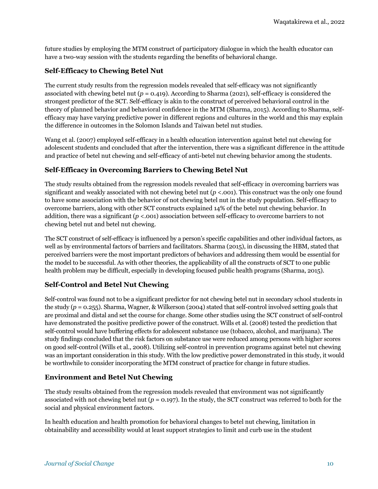future studies by employing the MTM construct of participatory dialogue in which the health educator can have a two-way session with the students regarding the benefits of behavioral change.

#### **Self-Efficacy to Chewing Betel Nut**

The current study results from the regression models revealed that self-efficacy was not significantly associated with chewing betel nut  $(p = 0.419)$ . According to Sharma (2021), self-efficacy is considered the strongest predictor of the SCT. Self-efficacy is akin to the construct of perceived behavioral control in the theory of planned behavior and behavioral confidence in the MTM (Sharma, 2015). According to Sharma, selfefficacy may have varying predictive power in different regions and cultures in the world and this may explain the difference in outcomes in the Solomon Islands and Taiwan betel nut studies.

Wang et al. (2007) employed self-efficacy in a health education intervention against betel nut chewing for adolescent students and concluded that after the intervention, there was a significant difference in the attitude and practice of betel nut chewing and self-efficacy of anti-betel nut chewing behavior among the students.

#### **Self-Efficacy in Overcoming Barriers to Chewing Betel Nut**

The study results obtained from the regression models revealed that self-efficacy in overcoming barriers was significant and weakly associated with not chewing betel nut (*p* <.001). This construct was the only one found to have some association with the behavior of not chewing betel nut in the study population. Self-efficacy to overcome barriers, along with other SCT constructs explained 14% of the betel nut chewing behavior. In addition, there was a significant (*p* <.001) association between self-efficacy to overcome barriers to not chewing betel nut and betel nut chewing.

The SCT construct of self-efficacy is influenced by a person's specific capabilities and other individual factors, as well as by environmental factors of barriers and facilitators. Sharma (2015), in discussing the HBM, stated that perceived barriers were the most important predictors of behaviors and addressing them would be essential for the model to be successful. As with other theories, the applicability of all the constructs of SCT to one public health problem may be difficult, especially in developing focused public health programs (Sharma, 2015).

#### **Self-Control and Betel Nut Chewing**

Self-control was found not to be a significant predictor for not chewing betel nut in secondary school students in the study (*p* = 0.255). Sharma, Wagner, & Wilkerson (2004) stated that self-control involved setting goals that are proximal and distal and set the course for change. Some other studies using the SCT construct of self-control have demonstrated the positive predictive power of the construct. Wills et al. (2008) tested the prediction that self-control would have buffering effects for adolescent substance use (tobacco, alcohol, and marijuana). The study findings concluded that the risk factors on substance use were reduced among persons with higher scores on good self-control (Wills et al., 2008). Utilizing self-control in prevention programs against betel nut chewing was an important consideration in this study. With the low predictive power demonstrated in this study, it would be worthwhile to consider incorporating the MTM construct of practice for change in future studies.

#### **Environment and Betel Nut Chewing**

The study results obtained from the regression models revealed that environment was not significantly associated with not chewing betel nut (*p* = 0.197). In the study, the SCT construct was referred to both for the social and physical environment factors.

In health education and health promotion for behavioral changes to betel nut chewing, limitation in obtainability and accessibility would at least support strategies to limit and curb use in the student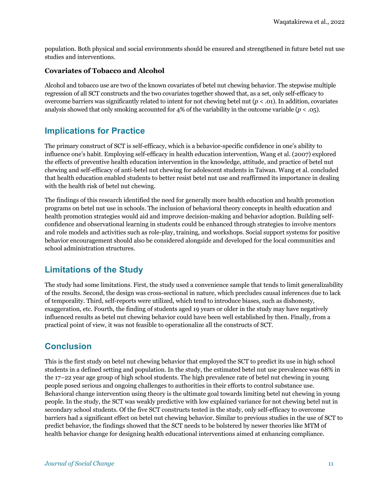population. Both physical and social environments should be ensured and strengthened in future betel nut use studies and interventions.

#### **Covariates of Tobacco and Alcohol**

Alcohol and tobacco use are two of the known covariates of betel nut chewing behavior. The stepwise multiple regression of all SCT constructs and the two covariates together showed that, as a set, only self-efficacy to overcome barriers was significantly related to intent for not chewing betel nut  $(p < .01)$ . In addition, covariates analysis showed that only smoking accounted for  $4\%$  of the variability in the outcome variable ( $p < .05$ ).

## **Implications for Practice**

The primary construct of SCT is self-efficacy, which is a behavior-specific confidence in one's ability to influence one's habit. Employing self-efficacy in health education intervention, Wang et al. (2007) explored the effects of preventive health education intervention in the knowledge, attitude, and practice of betel nut chewing and self-efficacy of anti-betel nut chewing for adolescent students in Taiwan. Wang et al. concluded that health education enabled students to better resist betel nut use and reaffirmed its importance in dealing with the health risk of betel nut chewing.

The findings of this research identified the need for generally more health education and health promotion programs on betel nut use in schools. The inclusion of behavioral theory concepts in health education and health promotion strategies would aid and improve decision-making and behavior adoption. Building selfconfidence and observational learning in students could be enhanced through strategies to involve mentors and role models and activities such as role-play, training, and workshops. Social support systems for positive behavior encouragement should also be considered alongside and developed for the local communities and school administration structures.

## **Limitations of the Study**

The study had some limitations. First, the study used a convenience sample that tends to limit generalizability of the results. Second, the design was cross-sectional in nature, which precludes causal inferences due to lack of temporality. Third, self-reports were utilized, which tend to introduce biases, such as dishonesty, exaggeration, etc. Fourth, the finding of students aged 19 years or older in the study may have negatively influenced results as betel nut chewing behavior could have been well established by then. Finally, from a practical point of view, it was not feasible to operationalize all the constructs of SCT.

## **Conclusion**

This is the first study on betel nut chewing behavior that employed the SCT to predict its use in high school students in a defined setting and population. In the study, the estimated betel nut use prevalence was 68% in the 17–22 year age group of high school students. The high prevalence rate of betel nut chewing in young people posed serious and ongoing challenges to authorities in their efforts to control substance use. Behavioral change intervention using theory is the ultimate goal towards limiting betel nut chewing in young people. In the study, the SCT was weakly predictive with low explained variance for not chewing betel nut in secondary school students. Of the five SCT constructs tested in the study, only self-efficacy to overcome barriers had a significant effect on betel nut chewing behavior. Similar to previous studies in the use of SCT to predict behavior, the findings showed that the SCT needs to be bolstered by newer theories like MTM of health behavior change for designing health educational interventions aimed at enhancing compliance.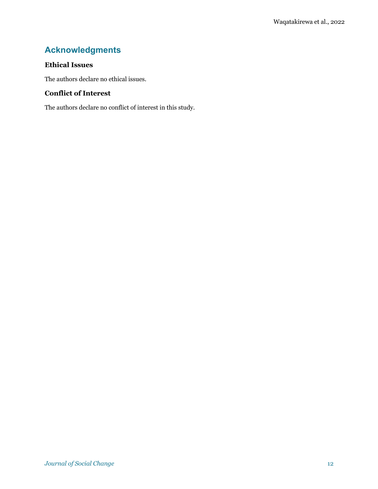## **Acknowledgments**

#### **Ethical Issues**

The authors declare no ethical issues.

#### **Conflict of Interest**

The authors declare no conflict of interest in this study.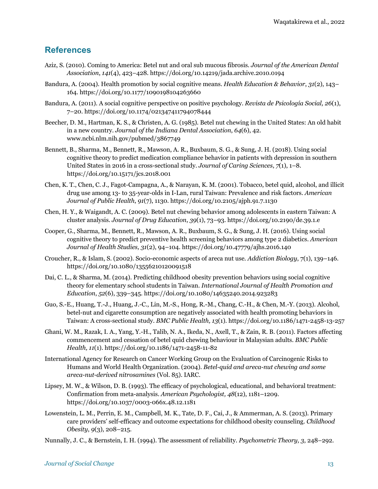## **References**

- Aziz, S. (2010). Coming to America: Betel nut and oral sub mucous fibrosis. *Journal of the American Dental Association*, *141*(4), 423–428. https://doi.org/10.14219/jada.archive.2010.0194
- Bandura, A. (2004). Health promotion by social cognitive means. *Health Education & Behavior*, *31*(2), 143– 164. https://doi.org/10.1177/1090198104263660
- Bandura, A. (2011). A social cognitive perspective on positive psychology. *Revista de Psicología Social, 26*(1), 7–20. https://doi.org/10.1174/021347411794078444
- Beecher, D. M., Hartman, K. S., & Christen, A. G. (1985). Betel nut chewing in the United States: An old habit in a new country. *Journal of the Indiana Dental Association*, *64*(6), 42. www.ncbi.nlm.nih.gov/pubmed/3867749
- Bennett, B., Sharma, M., Bennett, R., Mawson, A. R., Buxbaum, S. G., & Sung, J. H. (2018). Using social cognitive theory to predict medication compliance behavior in patients with depression in southern United States in 2016 in a cross-sectional study. *Journal of Caring Sciences*, *7*(1), 1–8. https://doi.org/10.15171/jcs.2018.001
- Chen, K. T., Chen, C. J., Fagot-Campagna, A., & Narayan, K. M. (2001). Tobacco, betel quid, alcohol, and illicit drug use among 13- to 35-year-olds in I-Lan, rural Taiwan: Prevalence and risk factors. *American Journal of Public Health*, *91*(7), 1130. https://doi.org/10.2105/ajph.91.7.1130
- Chen, H. Y., & Waigandt, A. C. (2009). Betel nut chewing behavior among adolescents in eastern Taiwan: A cluster analysis. *Journal of Drug Education*, *39*(1), 73–93. https://doi.org/10.2190/de.39.1.e
- Cooper, G., Sharma, M., Bennett, R., Mawson, A. R., Buxbaum, S. G., & Sung, J. H. (2016). Using social cognitive theory to predict preventive health screening behaviors among type 2 diabetics. *American Journal of Health Studies, 31*(2), 94–104. https://doi.org/10.47779/ajhs.2016.140
- Croucher, R., & Islam, S. (2002). Socio-economic aspects of areca nut use*. Addiction Biology*, 7(1), 139–146. https://doi.org/10.1080/13556210120091518
- Dai, C. L., & Sharma, M. (2014). Predicting childhood obesity prevention behaviors using social cognitive theory for elementary school students in Taiwan. *International Journal of Health Promotion and Education*, *52*(6), 339–345. https://doi.org/10.1080/14635240.2014.923283
- Guo, S.-E., Huang, T.-J., Huang, J.-C., Lin, M.-S., Hong, R.-M., Chang, C.-H., & Chen, M.-Y. (2013). Alcohol, betel-nut and cigarette consumption are negatively associated with health promoting behaviors in Taiwan: A cross-sectional study. *BMC Public Health, 13*(1). https://doi.org/10.1186/1471-2458-13-257
- Ghani, W. M., Razak, I. A., Yang, Y.-H., Talib, N. A., Ikeda, N., Axell, T., & Zain, R. B. (2011). Factors affecting commencement and cessation of betel quid chewing behaviour in Malaysian adults. *BMC Public Health, 11*(1). https://doi.org/10.1186/1471-2458-11-82
- International Agency for Research on Cancer Working Group on the Evaluation of Carcinogenic Risks to Humans and World Health Organization. (2004). *Betel-quid and areca-nut chewing and some areca-nut-derived nitrosamines* (Vol. 85). IARC.
- Lipsey, M. W., & Wilson, D. B. (1993). The efficacy of psychological, educational, and behavioral treatment: Confirmation from meta-analysis. *American Psychologist, 48*(12), 1181–1209. https://doi.org/10.1037/0003-066x.48.12.1181
- Lowenstein, L. M., Perrin, E. M., Campbell, M. K., Tate, D. F., Cai, J., & Ammerman, A. S. (2013). Primary care providers' self-efficacy and outcome expectations for childhood obesity counseling. *Childhood Obesity*, *9*(3), 208–215.
- Nunnally, J. C., & Bernstein, I. H. (1994). The assessment of reliability. *Psychometric Theory, 3*, 248–292.